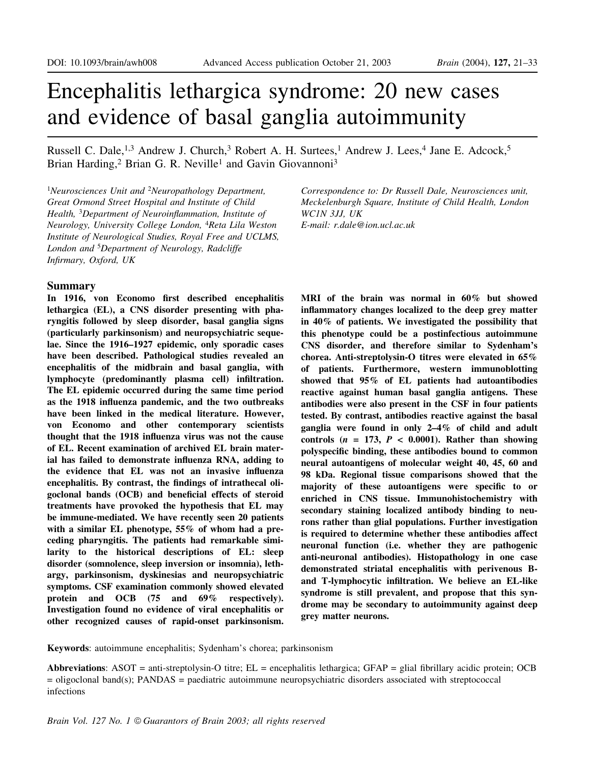# Encephalitis lethargica syndrome: 20 new cases and evidence of basal ganglia autoimmunity

Russell C. Dale,<sup>1,3</sup> Andrew J. Church,<sup>3</sup> Robert A. H. Surtees,<sup>1</sup> Andrew J. Lees,<sup>4</sup> Jane E. Adcock,<sup>5</sup> Brian Harding,<sup>2</sup> Brian G. R. Neville<sup>1</sup> and Gavin Giovannoni<sup>3</sup>

 $1$ Neurosciences Unit and  $2$ Neuropathology Department, Great Ormond Street Hospital and Institute of Child Health, <sup>3</sup>Department of Neuroinflammation, Institute of Neurology, University College London, <sup>4</sup>Reta Lila Weston Institute of Neurological Studies, Royal Free and UCLMS, London and <sup>5</sup>Department of Neurology, Radcliffe Infirmary, Oxford, UK

#### Summary

In 1916, von Economo first described encephalitis lethargica (EL), a CNS disorder presenting with pharyngitis followed by sleep disorder, basal ganglia signs (particularly parkinsonism) and neuropsychiatric sequelae. Since the 1916-1927 epidemic, only sporadic cases have been described. Pathological studies revealed an encephalitis of the midbrain and basal ganglia, with lymphocyte (predominantly plasma cell) infiltration. The EL epidemic occurred during the same time period as the 1918 influenza pandemic, and the two outbreaks have been linked in the medical literature. However, von Economo and other contemporary scientists thought that the 1918 influenza virus was not the cause of EL. Recent examination of archived EL brain material has failed to demonstrate influenza RNA, adding to the evidence that EL was not an invasive influenza encephalitis. By contrast, the findings of intrathecal oligoclonal bands (OCB) and beneficial effects of steroid treatments have provoked the hypothesis that EL may be immune-mediated. We have recently seen 20 patients with a similar EL phenotype, 55% of whom had a preceding pharyngitis. The patients had remarkable similarity to the historical descriptions of EL: sleep disorder (somnolence, sleep inversion or insomnia), lethargy, parkinsonism, dyskinesias and neuropsychiatric symptoms. CSF examination commonly showed elevated protein and OCB (75 and 69% respectively). Investigation found no evidence of viral encephalitis or other recognized causes of rapid-onset parkinsonism.

Correspondence to: Dr Russell Dale, Neurosciences unit, Meckelenburgh Square, Institute of Child Health, London WC1N 3JJ, UK E-mail: r.dale@ion.ucl.ac.uk

MRI of the brain was normal in 60% but showed inflammatory changes localized to the deep grey matter in 40% of patients. We investigated the possibility that this phenotype could be a postinfectious autoimmune CNS disorder, and therefore similar to Sydenham's chorea. Anti-streptolysin-O titres were elevated in 65% of patients. Furthermore, western immunoblotting showed that 95% of EL patients had autoantibodies reactive against human basal ganglia antigens. These antibodies were also present in the CSF in four patients tested. By contrast, antibodies reactive against the basal ganglia were found in only  $2-4\%$  of child and adult controls  $(n = 173, P < 0.0001)$ . Rather than showing polyspecific binding, these antibodies bound to common neural autoantigens of molecular weight 40, 45, 60 and 98 kDa. Regional tissue comparisons showed that the majority of these autoantigens were specific to or enriched in CNS tissue. Immunohistochemistry with secondary staining localized antibody binding to neurons rather than glial populations. Further investigation is required to determine whether these antibodies affect neuronal function (i.e. whether they are pathogenic anti-neuronal antibodies). Histopathology in one case demonstrated striatal encephalitis with perivenous Band T-lymphocytic infiltration. We believe an EL-like syndrome is still prevalent, and propose that this syndrome may be secondary to autoimmunity against deep grey matter neurons.

Keywords: autoimmune encephalitis; Sydenham's chorea; parkinsonism

Abbreviations: ASOT = anti-streptolysin-O titre;  $EL$  = encephalitis lethargica; GFAP = glial fibrillary acidic protein; OCB = oligoclonal band(s); PANDAS = paediatric autoimmune neuropsychiatric disorders associated with streptococcal infections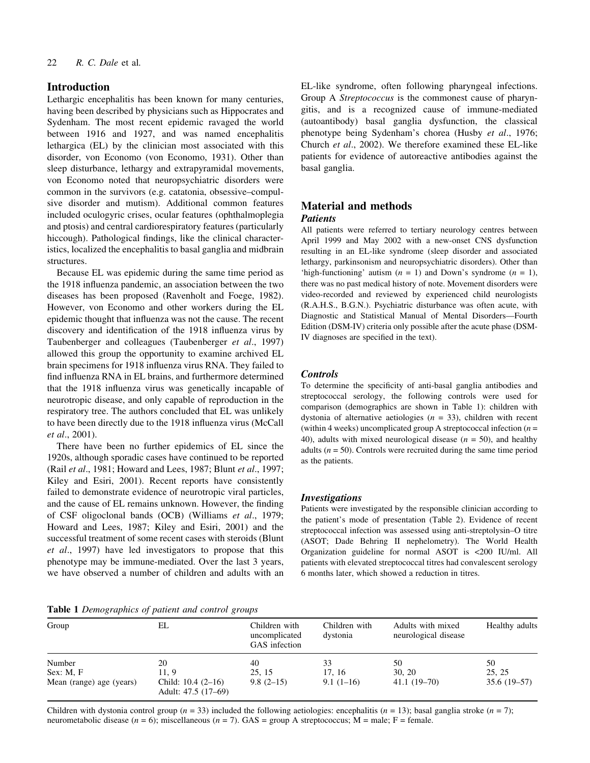## Introduction

Lethargic encephalitis has been known for many centuries, having been described by physicians such as Hippocrates and Sydenham. The most recent epidemic ravaged the world between 1916 and 1927, and was named encephalitis lethargica (EL) by the clinician most associated with this disorder, von Economo (von Economo, 1931). Other than sleep disturbance, lethargy and extrapyramidal movements, von Economo noted that neuropsychiatric disorders were common in the survivors (e.g. catatonia, obsessive-compulsive disorder and mutism). Additional common features included oculogyric crises, ocular features (ophthalmoplegia and ptosis) and central cardiorespiratory features (particularly hiccough). Pathological findings, like the clinical characteristics, localized the encephalitis to basal ganglia and midbrain structures.

Because EL was epidemic during the same time period as the 1918 influenza pandemic, an association between the two diseases has been proposed (Ravenholt and Foege, 1982). However, von Economo and other workers during the EL epidemic thought that influenza was not the cause. The recent discovery and identification of the 1918 influenza virus by Taubenberger and colleagues (Taubenberger et al., 1997) allowed this group the opportunity to examine archived EL brain specimens for 1918 influenza virus RNA. They failed to find influenza RNA in EL brains, and furthermore determined that the 1918 influenza virus was genetically incapable of neurotropic disease, and only capable of reproduction in the respiratory tree. The authors concluded that EL was unlikely to have been directly due to the 1918 influenza virus (McCall et al., 2001).

There have been no further epidemics of EL since the 1920s, although sporadic cases have continued to be reported (Rail et al., 1981; Howard and Lees, 1987; Blunt et al., 1997; Kiley and Esiri, 2001). Recent reports have consistently failed to demonstrate evidence of neurotropic viral particles, and the cause of EL remains unknown. However, the finding of CSF oligoclonal bands (OCB) (Williams et al., 1979; Howard and Lees, 1987; Kiley and Esiri, 2001) and the successful treatment of some recent cases with steroids (Blunt et al., 1997) have led investigators to propose that this phenotype may be immune-mediated. Over the last 3 years, we have observed a number of children and adults with an EL-like syndrome, often following pharyngeal infections. Group A Streptococcus is the commonest cause of pharyngitis, and is a recognized cause of immune-mediated (autoantibody) basal ganglia dysfunction, the classical phenotype being Sydenham's chorea (Husby et al., 1976; Church et al., 2002). We therefore examined these EL-like patients for evidence of autoreactive antibodies against the basal ganglia.

## Material and methods Patients

All patients were referred to tertiary neurology centres between April 1999 and May 2002 with a new-onset CNS dysfunction resulting in an EL-like syndrome (sleep disorder and associated lethargy, parkinsonism and neuropsychiatric disorders). Other than 'high-functioning' autism  $(n = 1)$  and Down's syndrome  $(n = 1)$ , there was no past medical history of note. Movement disorders were video-recorded and reviewed by experienced child neurologists (R.A.H.S., B.G.N.). Psychiatric disturbance was often acute, with Diagnostic and Statistical Manual of Mental Disorders-Fourth Edition (DSM-IV) criteria only possible after the acute phase (DSM-IV diagnoses are specified in the text).

## **Controls**

To determine the specificity of anti-basal ganglia antibodies and streptococcal serology, the following controls were used for comparison (demographics are shown in Table 1): children with dystonia of alternative aetiologies ( $n = 33$ ), children with recent (within 4 weeks) uncomplicated group A streptococcal infection  $(n =$ 40), adults with mixed neurological disease  $(n = 50)$ , and healthy adults ( $n = 50$ ). Controls were recruited during the same time period as the patients.

#### **Investigations**

Patients were investigated by the responsible clinician according to the patient's mode of presentation (Table 2). Evidence of recent streptococcal infection was assessed using anti-streptolysin-O titre (ASOT; Dade Behring II nephelometry). The World Health Organization guideline for normal ASOT is <200 IU/ml. All patients with elevated streptococcal titres had convalescent serology 6 months later, which showed a reduction in titres.

Table 1 Demographics of patient and control groups

| Group                    | EL                                            | Children with<br>uncomplicated<br>GAS infection | Children with<br>dystonia | Adults with mixed<br>neurological disease | Healthy adults |
|--------------------------|-----------------------------------------------|-------------------------------------------------|---------------------------|-------------------------------------------|----------------|
| Number                   | 20                                            | 40                                              | 33                        | 50                                        | 50             |
| Sex: M, F                | 11.9                                          | 25.15                                           | 17.16                     | 30, 20                                    | 25, 25         |
| Mean (range) age (years) | Child: $10.4$ $(2-16)$<br>Adult: 47.5 (17–69) | $9.8(2-15)$                                     | $9.1(1-16)$               | $41.1(19-70)$                             | $35.6(19-57)$  |

Children with dystonia control group  $(n = 33)$  included the following aetiologies: encephalitis  $(n = 13)$ ; basal ganglia stroke  $(n = 7)$ ; neurometabolic disease ( $n = 6$ ); miscellaneous ( $n = 7$ ). GAS = group A streptococcus; M = male; F = female.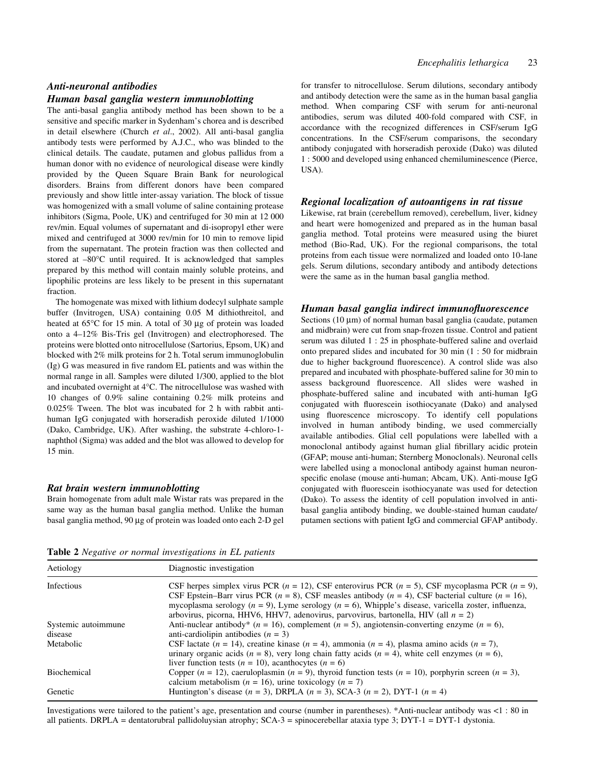#### Anti-neuronal antibodies

#### Human basal ganglia western immunoblotting

The anti-basal ganglia antibody method has been shown to be a sensitive and specific marker in Sydenham's chorea and is described in detail elsewhere (Church et al., 2002). All anti-basal ganglia antibody tests were performed by A.J.C., who was blinded to the clinical details. The caudate, putamen and globus pallidus from a human donor with no evidence of neurological disease were kindly provided by the Queen Square Brain Bank for neurological disorders. Brains from different donors have been compared previously and show little inter-assay variation. The block of tissue was homogenized with a small volume of saline containing protease inhibitors (Sigma, Poole, UK) and centrifuged for 30 min at 12 000 rev/min. Equal volumes of supernatant and di-isopropyl ether were mixed and centrifuged at 3000 rev/min for 10 min to remove lipid from the supernatant. The protein fraction was then collected and stored at  $-80^{\circ}$ C until required. It is acknowledged that samples prepared by this method will contain mainly soluble proteins, and lipophilic proteins are less likely to be present in this supernatant fraction.

The homogenate was mixed with lithium dodecyl sulphate sample buffer (Invitrogen, USA) containing 0.05 M dithiothreitol, and heated at  $65^{\circ}$ C for 15 min. A total of 30  $\mu$ g of protein was loaded onto a 4-12% Bis-Tris gel (Invitrogen) and electrophoresed. The proteins were blotted onto nitrocellulose (Sartorius, Epsom, UK) and blocked with 2% milk proteins for 2 h. Total serum immunoglobulin  $(Ig)$  G was measured in five random EL patients and was within the normal range in all. Samples were diluted 1/300, applied to the blot and incubated overnight at 4°C. The nitrocellulose was washed with 10 changes of 0.9% saline containing 0.2% milk proteins and 0.025% Tween. The blot was incubated for 2 h with rabbit antihuman IgG conjugated with horseradish peroxide diluted 1/1000 (Dako, Cambridge, UK). After washing, the substrate 4-chloro-1 naphthol (Sigma) was added and the blot was allowed to develop for 15 min.

#### Rat brain western immunoblotting

Brain homogenate from adult male Wistar rats was prepared in the same way as the human basal ganglia method. Unlike the human basal ganglia method, 90 µg of protein was loaded onto each 2-D gel

for transfer to nitrocellulose. Serum dilutions, secondary antibody and antibody detection were the same as in the human basal ganglia method. When comparing CSF with serum for anti-neuronal antibodies, serum was diluted 400-fold compared with CSF, in accordance with the recognized differences in CSF/serum IgG concentrations. In the CSF/serum comparisons, the secondary antibody conjugated with horseradish peroxide (Dako) was diluted 1 : 5000 and developed using enhanced chemiluminescence (Pierce, USA).

#### Regional localization of autoantigens in rat tissue

Likewise, rat brain (cerebellum removed), cerebellum, liver, kidney and heart were homogenized and prepared as in the human basal ganglia method. Total proteins were measured using the biuret method (Bio-Rad, UK). For the regional comparisons, the total proteins from each tissue were normalized and loaded onto 10-lane gels. Serum dilutions, secondary antibody and antibody detections were the same as in the human basal ganglia method.

#### Human basal ganglia indirect immunofluorescence

Sections  $(10 \mu m)$  of normal human basal ganglia (caudate, putamen and midbrain) were cut from snap-frozen tissue. Control and patient serum was diluted 1 : 25 in phosphate-buffered saline and overlaid onto prepared slides and incubated for 30 min (1 : 50 for midbrain due to higher background fluorescence). A control slide was also prepared and incubated with phosphate-buffered saline for 30 min to assess background fluorescence. All slides were washed in phosphate-buffered saline and incubated with anti-human IgG conjugated with fluorescein isothiocyanate (Dako) and analysed using fluorescence microscopy. To identify cell populations involved in human antibody binding, we used commercially available antibodies. Glial cell populations were labelled with a monoclonal antibody against human glial fibrillary acidic protein (GFAP; mouse anti-human; Sternberg Monoclonals). Neuronal cells were labelled using a monoclonal antibody against human neuronspecific enolase (mouse anti-human; Abcam, UK). Anti-mouse IgG conjugated with fluorescein isothiocyanate was used for detection (Dako). To assess the identity of cell population involved in antibasal ganglia antibody binding, we double-stained human caudate/ putamen sections with patient IgG and commercial GFAP antibody.

Table 2 Negative or normal investigations in EL patients

| Aetiology           | Diagnostic investigation                                                                                                                                                                                                                                                                                                                                                                                                              |  |  |  |
|---------------------|---------------------------------------------------------------------------------------------------------------------------------------------------------------------------------------------------------------------------------------------------------------------------------------------------------------------------------------------------------------------------------------------------------------------------------------|--|--|--|
| Infectious          | CSF herpes simplex virus PCR ( $n = 12$ ), CSF enterovirus PCR ( $n = 5$ ), CSF mycoplasma PCR ( $n = 9$ ),<br>CSF Epstein–Barr virus PCR ( $n = 8$ ), CSF measles antibody ( $n = 4$ ), CSF bacterial culture ( $n = 16$ ),<br>mycoplasma serology ( $n = 9$ ), Lyme serology ( $n = 6$ ), Whipple's disease, varicella zoster, influenza,<br>arbovirus, picorna, HHV6, HHV7, adenovirus, parvovirus, bartonella, HIV (all $n = 2$ ) |  |  |  |
| Systemic autoimmune | Anti-nuclear antibody* ( $n = 16$ ), complement ( $n = 5$ ), angiotensin-converting enzyme ( $n = 6$ ),                                                                                                                                                                                                                                                                                                                               |  |  |  |
| disease             | anti-cardiolipin antibodies $(n = 3)$                                                                                                                                                                                                                                                                                                                                                                                                 |  |  |  |
| Metabolic           | CSF lactate ( $n = 14$ ), creatine kinase ( $n = 4$ ), ammonia ( $n = 4$ ), plasma amino acids ( $n = 7$ ),                                                                                                                                                                                                                                                                                                                           |  |  |  |
|                     | urinary organic acids ( $n = 8$ ), very long chain fatty acids ( $n = 4$ ), white cell enzymes ( $n = 6$ ),<br>liver function tests $(n = 10)$ , acanthocytes $(n = 6)$                                                                                                                                                                                                                                                               |  |  |  |
| <b>Biochemical</b>  | Copper $(n = 12)$ , caeruloplasmin $(n = 9)$ , thyroid function tests $(n = 10)$ , porphyrin screen $(n = 3)$ ,<br>calcium metabolism ( $n = 16$ ), urine toxicology ( $n = 7$ )                                                                                                                                                                                                                                                      |  |  |  |
| Genetic             | Huntington's disease ( $n = 3$ ), DRPLA ( $n = 3$ ), SCA-3 ( $n = 2$ ), DYT-1 ( $n = 4$ )                                                                                                                                                                                                                                                                                                                                             |  |  |  |

Investigations were tailored to the patient's age, presentation and course (number in parentheses). \*Anti-nuclear antibody was <1 : 80 in all patients. DRPLA = dentatorubral pallidoluysian atrophy; SCA-3 = spinocerebellar ataxia type 3; DYT-1 = DYT-1 dystonia.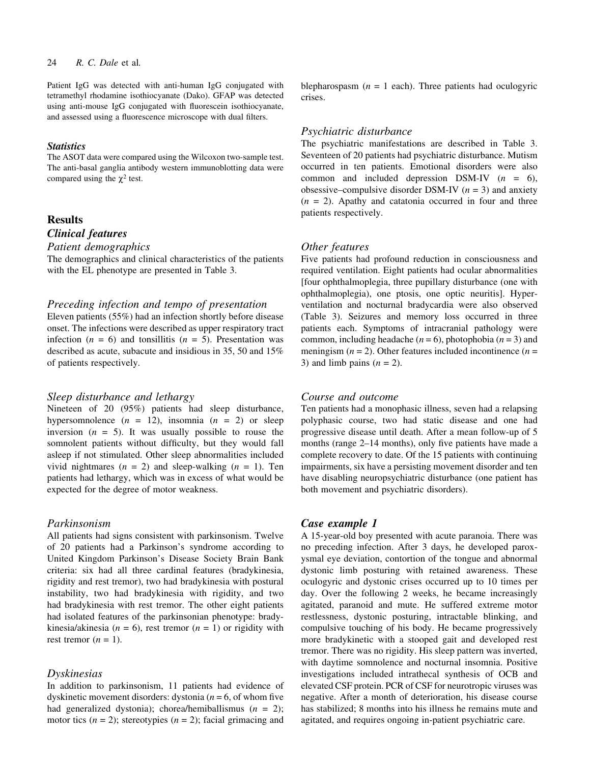## 24 R. C. Dale et al.

Patient IgG was detected with anti-human IgG conjugated with tetramethyl rhodamine isothiocyanate (Dako). GFAP was detected using anti-mouse IgG conjugated with fluorescein isothiocyanate, and assessed using a fluorescence microscope with dual filters.

## **Statistics**

The ASOT data were compared using the Wilcoxon two-sample test. The anti-basal ganglia antibody western immunoblotting data were compared using the  $\chi^2$  test.

## Results

# Clinical features

Patient demographics

The demographics and clinical characteristics of the patients with the EL phenotype are presented in Table 3.

#### Preceding infection and tempo of presentation

Eleven patients (55%) had an infection shortly before disease onset. The infections were described as upper respiratory tract infection  $(n = 6)$  and tonsillitis  $(n = 5)$ . Presentation was described as acute, subacute and insidious in 35, 50 and 15% of patients respectively.

#### Sleep disturbance and lethargy

Nineteen of 20 (95%) patients had sleep disturbance, hypersomnolence  $(n = 12)$ , insomnia  $(n = 2)$  or sleep inversion  $(n = 5)$ . It was usually possible to rouse the somnolent patients without difficulty, but they would fall asleep if not stimulated. Other sleep abnormalities included vivid nightmares  $(n = 2)$  and sleep-walking  $(n = 1)$ . Ten patients had lethargy, which was in excess of what would be expected for the degree of motor weakness.

#### Parkinsonism

All patients had signs consistent with parkinsonism. Twelve of 20 patients had a Parkinson's syndrome according to United Kingdom Parkinson's Disease Society Brain Bank criteria: six had all three cardinal features (bradykinesia, rigidity and rest tremor), two had bradykinesia with postural instability, two had bradykinesia with rigidity, and two had bradykinesia with rest tremor. The other eight patients had isolated features of the parkinsonian phenotype: bradykinesia/akinesia ( $n = 6$ ), rest tremor ( $n = 1$ ) or rigidity with rest tremor  $(n = 1)$ .

## Dyskinesias

In addition to parkinsonism, 11 patients had evidence of dyskinetic movement disorders: dystonia ( $n = 6$ , of whom five had generalized dystonia); chorea/hemiballismus  $(n = 2)$ ; motor tics  $(n = 2)$ ; stereotypies  $(n = 2)$ ; facial grimacing and

blepharospasm  $(n = 1$  each). Three patients had oculogyric crises.

#### Psychiatric disturbance

The psychiatric manifestations are described in Table 3. Seventeen of 20 patients had psychiatric disturbance. Mutism occurred in ten patients. Emotional disorders were also common and included depression DSM-IV  $(n = 6)$ , obsessive–compulsive disorder DSM-IV ( $n = 3$ ) and anxiety  $(n = 2)$ . Apathy and catatonia occurred in four and three patients respectively.

#### Other features

Five patients had profound reduction in consciousness and required ventilation. Eight patients had ocular abnormalities [four ophthalmoplegia, three pupillary disturbance (one with ophthalmoplegia), one ptosis, one optic neuritis]. Hyperventilation and nocturnal bradycardia were also observed (Table 3). Seizures and memory loss occurred in three patients each. Symptoms of intracranial pathology were common, including headache ( $n = 6$ ), photophobia ( $n = 3$ ) and meningism  $(n = 2)$ . Other features included incontinence  $(n = 1)$ 3) and limb pains  $(n = 2)$ .

#### Course and outcome

Ten patients had a monophasic illness, seven had a relapsing polyphasic course, two had static disease and one had progressive disease until death. After a mean follow-up of 5 months (range  $2-14$  months), only five patients have made a complete recovery to date. Of the 15 patients with continuing impairments, six have a persisting movement disorder and ten have disabling neuropsychiatric disturbance (one patient has both movement and psychiatric disorders).

#### Case example 1

A 15-year-old boy presented with acute paranoia. There was no preceding infection. After 3 days, he developed paroxysmal eye deviation, contortion of the tongue and abnormal dystonic limb posturing with retained awareness. These oculogyric and dystonic crises occurred up to 10 times per day. Over the following 2 weeks, he became increasingly agitated, paranoid and mute. He suffered extreme motor restlessness, dystonic posturing, intractable blinking, and compulsive touching of his body. He became progressively more bradykinetic with a stooped gait and developed rest tremor. There was no rigidity. His sleep pattern was inverted, with daytime somnolence and nocturnal insomnia. Positive investigations included intrathecal synthesis of OCB and elevated CSF protein. PCR of CSF for neurotropic viruses was negative. After a month of deterioration, his disease course has stabilized; 8 months into his illness he remains mute and agitated, and requires ongoing in-patient psychiatric care.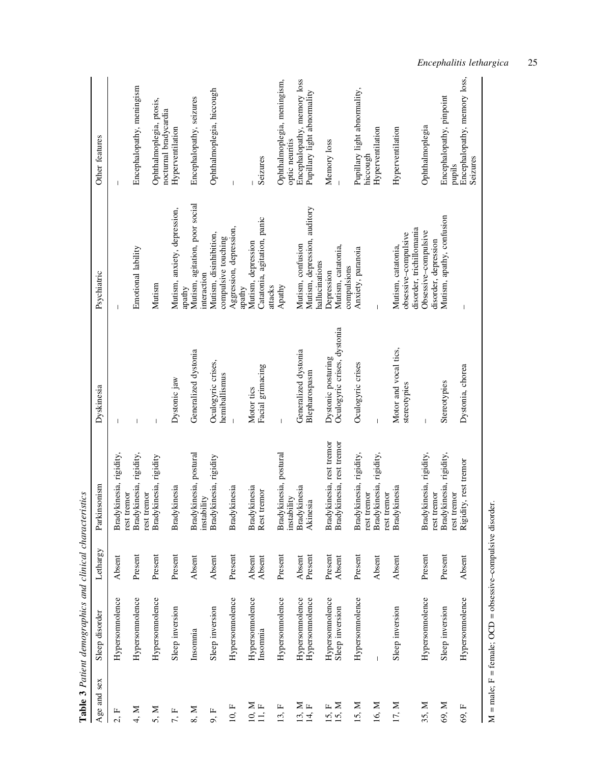| Age and sex         | Sleep disorder                                                   | Lethargy | Parkinsonism                               | Dyskinesia                            | Psychiatric                                                            | Other features                                    |
|---------------------|------------------------------------------------------------------|----------|--------------------------------------------|---------------------------------------|------------------------------------------------------------------------|---------------------------------------------------|
| 2, F                | Hypersomnolence                                                  | Absent   | Bradykinesia, rigidity,<br>rest tremor     |                                       |                                                                        |                                                   |
| 4, M                | Hypersonnolence                                                  | Present  | Bradykinesia, rigidity,<br>rest tremor     |                                       | Emotional lability                                                     | Encephalopathy, meningism                         |
| 5, M                | Hypersomnolence                                                  | Present  | Bradykinesia, rigidity                     |                                       | Mutism                                                                 | Ophthalmoplegia, ptosis,<br>nocturnal bradycardia |
| 7, F                | Sleep inversion                                                  | Present  | Bradykinesia                               | Dystonic jaw                          | Mutism, anxiety, depression,<br>apathy                                 | Hyperventilation                                  |
| 8, M                | Insomnia                                                         | Absent   | Bradykinesia, postural<br>instability      | Generalized dystonia                  | Mutism, agitation, poor social<br>interaction                          | Encephalopathy, seizures                          |
| 9, F                | Sleep inversion                                                  | Absent   | Bradykinesia, rigidity                     | Oculogyric crises,<br>hemiballismus   | Mutism, disinhibition,<br>compulsive touching                          | Ophthalmoplegia, hiccough                         |
| 10, F               | Hypersonnolence                                                  | Present  | Bradykinesia                               |                                       | Aggression, depression,<br>apathy                                      |                                                   |
| 10, M               | Hypersonnolence                                                  | Absent   | Bradykinesia                               | Motor tics                            | Mutism, depression                                                     |                                                   |
| $11, F$             | Insomnia                                                         | Absent   | Rest tremor                                | Facial grimacing                      | Catatonia, agitation, panic<br>attacks                                 | Seizures                                          |
| щ<br>$\overline{3}$ | Hypersomnolence                                                  | Present  | Bradykinesia, postural<br>instability      | $\overline{1}$                        | Apathy                                                                 | Ophthalmoplegia, meningism,<br>optic neuritis     |
|                     | Hypersomnolence                                                  | Absent   | Bradykinesia                               | Generalized dystonia                  | Mutism, confusion                                                      | Encephalopathy, memory loss                       |
| $13, H$<br>$14, F$  | Hypersomnolence                                                  | Present  | Akinesia                                   | Blepharospasm                         | Mutism, depression, auditory<br>hallucinations                         | Pupillary light abnormality                       |
| $15, H$<br>$15, M$  | Hypersomnolence                                                  | Present  | Bradykinesia, rest tremor                  | Dystonic posturing                    | Depression                                                             | Memory loss                                       |
|                     | Sleep inversion                                                  | Absent   | Bradykinesia, rest tremor                  | Oculogyric crises, dystonia           | Mutism, catatonia,<br>compulsions                                      |                                                   |
| 15, M               | Hypersomnolence                                                  | Present  | kinesia, rigidity,<br>rest tremor<br>Brady | Oculogyric crises                     | Anxiety, paranoia                                                      | Pupillary light abnormality,<br>hiccough          |
| 16, M               | $\overline{1}$                                                   | Absent   | Bradykinesia, rigidity,<br>rest tremor     |                                       |                                                                        | Hyperventilation                                  |
| 17, M               | Sleep inversion                                                  | Absent   | kinesia<br>Brady                           | Motor and vocal tics,<br>stereotypies | disorder, trichillomania<br>obsessive-compulsive<br>Mutism, catatonia, | Hyperventilation                                  |
| 35, M               | Hypersomnolence                                                  | Present  | kinesia, rigidity,<br>rest tremor<br>Brady | $\overline{1}$                        | Obsessive-compulsive<br>disorder, depression                           | Ophthalmoplegia                                   |
| 69, M               | Sleep inversion                                                  | Present  | Bradykinesia, rigidity,<br>rest tremor     | Stereotypies                          | Mutism, apathy, confusion                                              | Encephalopathy, pinpoint<br>pupils                |
| 69, F               | Hypersomnolence                                                  | Absent   | Rigidity, rest tremor                      | Dystonia, chorea                      |                                                                        | Encephalopathy, memory loss,<br>Seizures          |
|                     | $M = male$ ; $F = female$ ; OCD = obsessive-compulsive disorder. |          |                                            |                                       |                                                                        |                                                   |

Table 3 Patient demographics and clinical characteristics Table 3 Patient demographics and clinical characteristics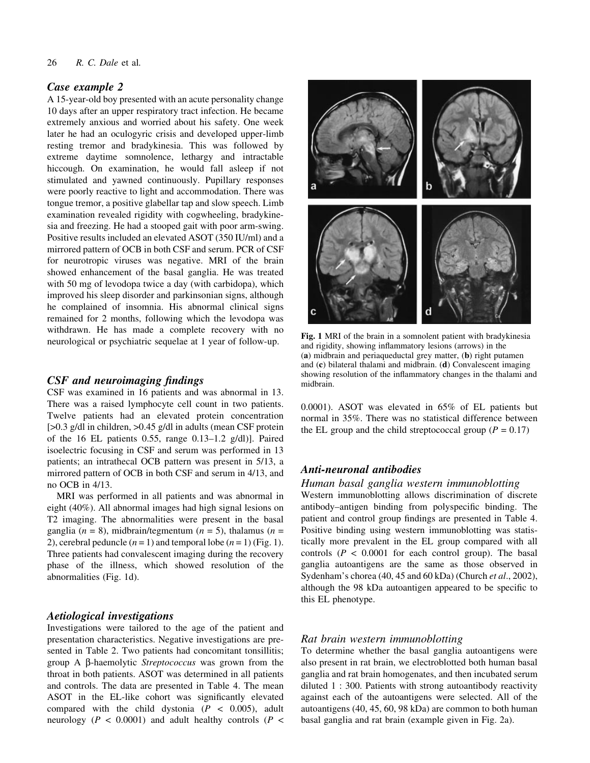## Case example 2

A 15-year-old boy presented with an acute personality change 10 days after an upper respiratory tract infection. He became extremely anxious and worried about his safety. One week later he had an oculogyric crisis and developed upper-limb resting tremor and bradykinesia. This was followed by extreme daytime somnolence, lethargy and intractable hiccough. On examination, he would fall asleep if not stimulated and yawned continuously. Pupillary responses were poorly reactive to light and accommodation. There was tongue tremor, a positive glabellar tap and slow speech. Limb examination revealed rigidity with cogwheeling, bradykinesia and freezing. He had a stooped gait with poor arm-swing. Positive results included an elevated ASOT (350 IU/ml) and a mirrored pattern of OCB in both CSF and serum. PCR of CSF for neurotropic viruses was negative. MRI of the brain showed enhancement of the basal ganglia. He was treated with 50 mg of levodopa twice a day (with carbidopa), which improved his sleep disorder and parkinsonian signs, although he complained of insomnia. His abnormal clinical signs remained for 2 months, following which the levodopa was withdrawn. He has made a complete recovery with no neurological or psychiatric sequelae at 1 year of follow-up.

## $CSF$  and neuroimaging findings

CSF was examined in 16 patients and was abnormal in 13. There was a raised lymphocyte cell count in two patients. Twelve patients had an elevated protein concentration [>0.3 g/dl in children, >0.45 g/dl in adults (mean CSF protein of the 16 EL patients 0.55, range  $0.13-1.2$  g/dl)]. Paired isoelectric focusing in CSF and serum was performed in 13 patients; an intrathecal OCB pattern was present in 5/13, a mirrored pattern of OCB in both CSF and serum in 4/13, and no OCB in 4/13.

MRI was performed in all patients and was abnormal in eight (40%). All abnormal images had high signal lesions on T2 imaging. The abnormalities were present in the basal ganglia ( $n = 8$ ), midbrain/tegmentum ( $n = 5$ ), thalamus ( $n =$ 2), cerebral peduncle  $(n = 1)$  and temporal lobe  $(n = 1)$  (Fig. 1). Three patients had convalescent imaging during the recovery phase of the illness, which showed resolution of the abnormalities (Fig. 1d).

# Aetiological investigations

Investigations were tailored to the age of the patient and presentation characteristics. Negative investigations are presented in Table 2. Two patients had concomitant tonsillitis; group A b-haemolytic Streptococcus was grown from the throat in both patients. ASOT was determined in all patients and controls. The data are presented in Table 4. The mean ASOT in the EL-like cohort was significantly elevated compared with the child dystonia  $(P < 0.005)$ , adult neurology ( $P < 0.0001$ ) and adult healthy controls ( $P <$ 



Fig. 1 MRI of the brain in a somnolent patient with bradykinesia and rigidity, showing inflammatory lesions (arrows) in the (a) midbrain and periaqueductal grey matter, (b) right putamen and (c) bilateral thalami and midbrain. (d) Convalescent imaging showing resolution of the inflammatory changes in the thalami and midbrain.

0.0001). ASOT was elevated in 65% of EL patients but normal in 35%. There was no statistical difference between the EL group and the child streptococcal group ( $P = 0.17$ )

# Anti-neuronal antibodies

# Human basal ganglia western immunoblotting

Western immunoblotting allows discrimination of discrete antibody-antigen binding from polyspecific binding. The patient and control group findings are presented in Table 4. Positive binding using western immunoblotting was statistically more prevalent in the EL group compared with all controls ( $P < 0.0001$  for each control group). The basal ganglia autoantigens are the same as those observed in Sydenham's chorea (40, 45 and 60 kDa) (Church et al., 2002), although the 98 kDa autoantigen appeared to be specific to this EL phenotype.

## Rat brain western immunoblotting

To determine whether the basal ganglia autoantigens were also present in rat brain, we electroblotted both human basal ganglia and rat brain homogenates, and then incubated serum diluted 1 : 300. Patients with strong autoantibody reactivity against each of the autoantigens were selected. All of the autoantigens (40, 45, 60, 98 kDa) are common to both human basal ganglia and rat brain (example given in Fig. 2a).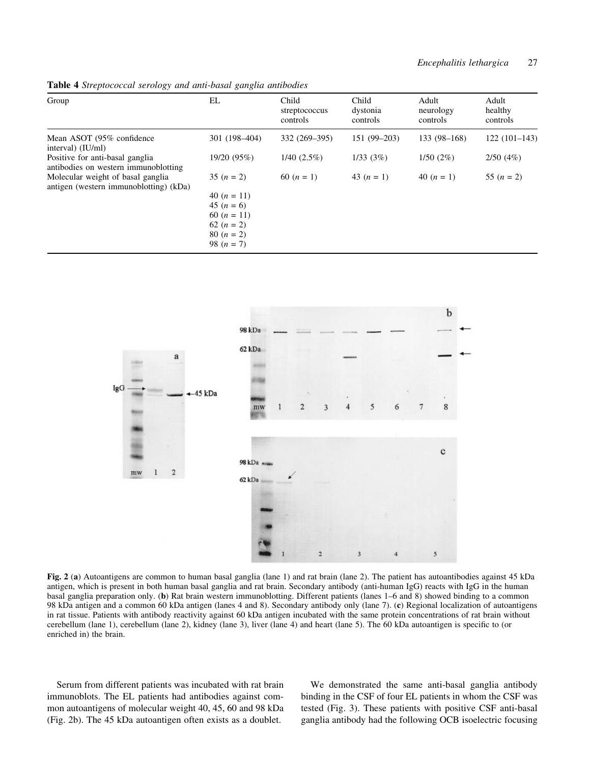| $\cup$                                                                      |                                                                                                                |                                    |                               |                                |                              |
|-----------------------------------------------------------------------------|----------------------------------------------------------------------------------------------------------------|------------------------------------|-------------------------------|--------------------------------|------------------------------|
| Group                                                                       | EL                                                                                                             | Child<br>streptococcus<br>controls | Child<br>dystonia<br>controls | Adult<br>neurology<br>controls | Adult<br>healthy<br>controls |
| Mean ASOT (95% confidence)<br>interval) (IU/ml)                             | 301 (198-404)                                                                                                  | 332 (269–395)                      | $151(99-203)$                 | $133(98-168)$                  | $122(101-143)$               |
| Positive for anti-basal ganglia<br>antibodies on western immunoblotting     | 19/20 (95%)                                                                                                    | $1/40$ $(2.5\%)$                   | 1/33(3%)                      | 1/50(2%)                       | 2/50(4%)                     |
| Molecular weight of basal ganglia<br>antigen (western immunoblotting) (kDa) | $35 (n = 2)$<br>40 $(n = 11)$<br>45 $(n = 6)$<br>60 $(n = 11)$<br>62 $(n = 2)$<br>80 $(n = 2)$<br>98 $(n = 7)$ | 60 $(n = 1)$                       | 43 $(n = 1)$                  | 40 $(n = 1)$                   | 55 $(n = 2)$                 |

Table 4 Streptococcal serology and anti-basal ganglia antibodies



Fig. 2 (a) Autoantigens are common to human basal ganglia (lane 1) and rat brain (lane 2). The patient has autoantibodies against 45 kDa antigen, which is present in both human basal ganglia and rat brain. Secondary antibody (anti-human IgG) reacts with IgG in the human basal ganglia preparation only. (b) Rat brain western immunoblotting. Different patients (lanes 1–6 and 8) showed binding to a common 98 kDa antigen and a common 60 kDa antigen (lanes 4 and 8). Secondary antibody only (lane 7). (c) Regional localization of autoantigens in rat tissue. Patients with antibody reactivity against 60 kDa antigen incubated with the same protein concentrations of rat brain without cerebellum (lane 1), cerebellum (lane 2), kidney (lane 3), liver (lane 4) and heart (lane 5). The 60 kDa autoantigen is specific to (or enriched in) the brain.

Serum from different patients was incubated with rat brain immunoblots. The EL patients had antibodies against common autoantigens of molecular weight 40, 45, 60 and 98 kDa (Fig. 2b). The 45 kDa autoantigen often exists as a doublet.

We demonstrated the same anti-basal ganglia antibody binding in the CSF of four EL patients in whom the CSF was tested (Fig. 3). These patients with positive CSF anti-basal ganglia antibody had the following OCB isoelectric focusing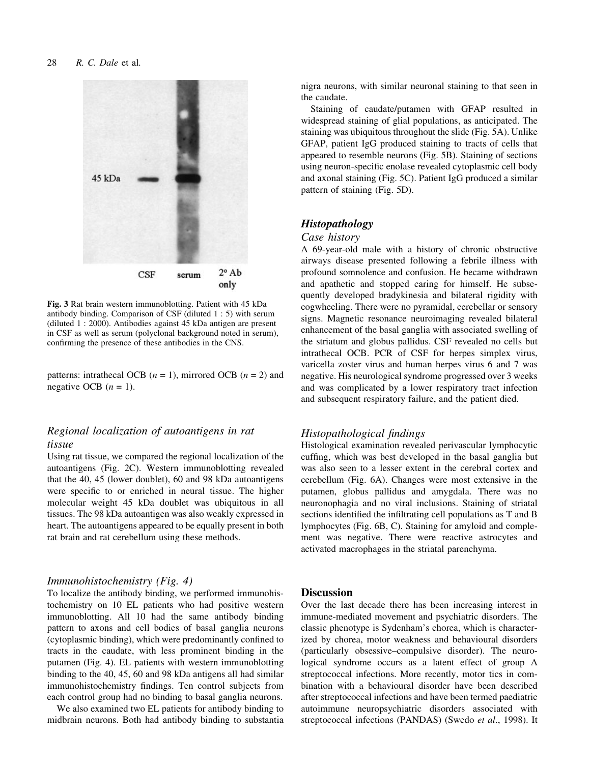

Fig. 3 Rat brain western immunoblotting. Patient with 45 kDa antibody binding. Comparison of CSF (diluted 1 : 5) with serum (diluted 1 : 2000). Antibodies against 45 kDa antigen are present in CSF as well as serum (polyclonal background noted in serum), confirming the presence of these antibodies in the CNS.

patterns: intrathecal OCB  $(n = 1)$ , mirrored OCB  $(n = 2)$  and negative OCB  $(n = 1)$ .

# Regional localization of autoantigens in rat tissue

Using rat tissue, we compared the regional localization of the autoantigens (Fig. 2C). Western immunoblotting revealed that the 40, 45 (lower doublet), 60 and 98 kDa autoantigens were specific to or enriched in neural tissue. The higher molecular weight 45 kDa doublet was ubiquitous in all tissues. The 98 kDa autoantigen was also weakly expressed in heart. The autoantigens appeared to be equally present in both rat brain and rat cerebellum using these methods.

#### Immunohistochemistry (Fig. 4)

To localize the antibody binding, we performed immunohistochemistry on 10 EL patients who had positive western immunoblotting. All 10 had the same antibody binding pattern to axons and cell bodies of basal ganglia neurons (cytoplasmic binding), which were predominantly confined to tracts in the caudate, with less prominent binding in the putamen (Fig. 4). EL patients with western immunoblotting binding to the 40, 45, 60 and 98 kDa antigens all had similar immunohistochemistry findings. Ten control subjects from each control group had no binding to basal ganglia neurons.

We also examined two EL patients for antibody binding to midbrain neurons. Both had antibody binding to substantia nigra neurons, with similar neuronal staining to that seen in the caudate.

Staining of caudate/putamen with GFAP resulted in widespread staining of glial populations, as anticipated. The staining was ubiquitous throughout the slide (Fig. 5A). Unlike GFAP, patient IgG produced staining to tracts of cells that appeared to resemble neurons (Fig. 5B). Staining of sections using neuron-specific enolase revealed cytoplasmic cell body and axonal staining (Fig. 5C). Patient IgG produced a similar pattern of staining (Fig. 5D).

#### Histopathology

#### Case history

A 69-year-old male with a history of chronic obstructive airways disease presented following a febrile illness with profound somnolence and confusion. He became withdrawn and apathetic and stopped caring for himself. He subsequently developed bradykinesia and bilateral rigidity with cogwheeling. There were no pyramidal, cerebellar or sensory signs. Magnetic resonance neuroimaging revealed bilateral enhancement of the basal ganglia with associated swelling of the striatum and globus pallidus. CSF revealed no cells but intrathecal OCB. PCR of CSF for herpes simplex virus, varicella zoster virus and human herpes virus 6 and 7 was negative. His neurological syndrome progressed over 3 weeks and was complicated by a lower respiratory tract infection and subsequent respiratory failure, and the patient died.

#### Histopathological findings

Histological examination revealed perivascular lymphocytic cuffing, which was best developed in the basal ganglia but was also seen to a lesser extent in the cerebral cortex and cerebellum (Fig. 6A). Changes were most extensive in the putamen, globus pallidus and amygdala. There was no neuronophagia and no viral inclusions. Staining of striatal sections identified the infiltrating cell populations as T and B lymphocytes (Fig. 6B, C). Staining for amyloid and complement was negative. There were reactive astrocytes and activated macrophages in the striatal parenchyma.

## **Discussion**

Over the last decade there has been increasing interest in immune-mediated movement and psychiatric disorders. The classic phenotype is Sydenham's chorea, which is characterized by chorea, motor weakness and behavioural disorders (particularly obsessive-compulsive disorder). The neurological syndrome occurs as a latent effect of group A streptococcal infections. More recently, motor tics in combination with a behavioural disorder have been described after streptococcal infections and have been termed paediatric autoimmune neuropsychiatric disorders associated with streptococcal infections (PANDAS) (Swedo et al., 1998). It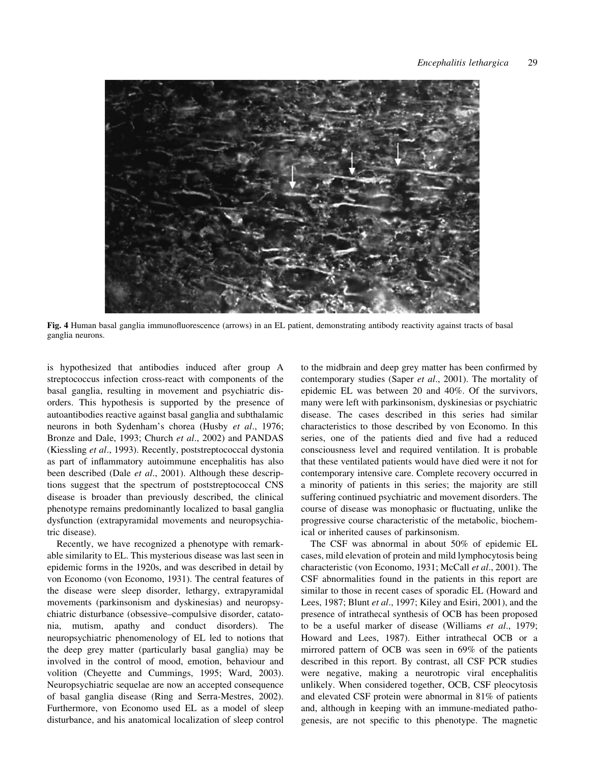

Fig. 4 Human basal ganglia immunofluorescence (arrows) in an EL patient, demonstrating antibody reactivity against tracts of basal ganglia neurons.

is hypothesized that antibodies induced after group A streptococcus infection cross-react with components of the basal ganglia, resulting in movement and psychiatric disorders. This hypothesis is supported by the presence of autoantibodies reactive against basal ganglia and subthalamic neurons in both Sydenham's chorea (Husby et al., 1976; Bronze and Dale, 1993; Church et al., 2002) and PANDAS (Kiessling *et al.*, 1993). Recently, poststreptococcal dystonia as part of inflammatory autoimmune encephalitis has also been described (Dale et al., 2001). Although these descriptions suggest that the spectrum of poststreptococcal CNS disease is broader than previously described, the clinical phenotype remains predominantly localized to basal ganglia dysfunction (extrapyramidal movements and neuropsychiatric disease).

Recently, we have recognized a phenotype with remarkable similarity to EL. This mysterious disease was last seen in epidemic forms in the 1920s, and was described in detail by von Economo (von Economo, 1931). The central features of the disease were sleep disorder, lethargy, extrapyramidal movements (parkinsonism and dyskinesias) and neuropsychiatric disturbance (obsessive-compulsive disorder, catatonia, mutism, apathy and conduct disorders). The neuropsychiatric phenomenology of EL led to notions that the deep grey matter (particularly basal ganglia) may be involved in the control of mood, emotion, behaviour and volition (Cheyette and Cummings, 1995; Ward, 2003). Neuropsychiatric sequelae are now an accepted consequence of basal ganglia disease (Ring and Serra-Mestres, 2002). Furthermore, von Economo used EL as a model of sleep disturbance, and his anatomical localization of sleep control

to the midbrain and deep grey matter has been confirmed by contemporary studies (Saper et al., 2001). The mortality of epidemic EL was between 20 and 40%. Of the survivors, many were left with parkinsonism, dyskinesias or psychiatric disease. The cases described in this series had similar characteristics to those described by von Economo. In this series, one of the patients died and five had a reduced consciousness level and required ventilation. It is probable that these ventilated patients would have died were it not for contemporary intensive care. Complete recovery occurred in a minority of patients in this series; the majority are still suffering continued psychiatric and movement disorders. The course of disease was monophasic or fluctuating, unlike the progressive course characteristic of the metabolic, biochemical or inherited causes of parkinsonism.

The CSF was abnormal in about 50% of epidemic EL cases, mild elevation of protein and mild lymphocytosis being characteristic (von Economo, 1931; McCall et al., 2001). The CSF abnormalities found in the patients in this report are similar to those in recent cases of sporadic EL (Howard and Lees, 1987; Blunt et al., 1997; Kiley and Esiri, 2001), and the presence of intrathecal synthesis of OCB has been proposed to be a useful marker of disease (Williams et al., 1979; Howard and Lees, 1987). Either intrathecal OCB or a mirrored pattern of OCB was seen in 69% of the patients described in this report. By contrast, all CSF PCR studies were negative, making a neurotropic viral encephalitis unlikely. When considered together, OCB, CSF pleocytosis and elevated CSF protein were abnormal in 81% of patients and, although in keeping with an immune-mediated pathogenesis, are not specific to this phenotype. The magnetic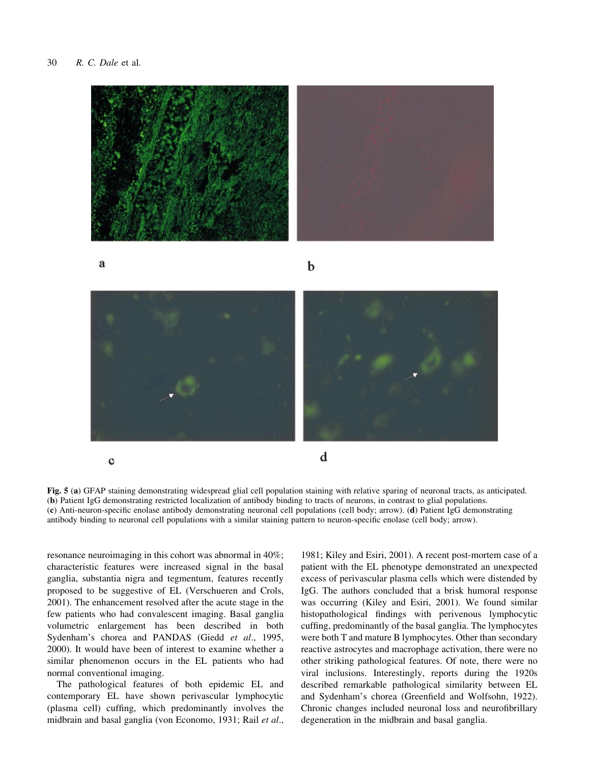

a

b



Fig. 5 (a) GFAP staining demonstrating widespread glial cell population staining with relative sparing of neuronal tracts, as anticipated. (b) Patient IgG demonstrating restricted localization of antibody binding to tracts of neurons, in contrast to glial populations. (c) Anti-neuron-specific enolase antibody demonstrating neuronal cell populations (cell body; arrow). (d) Patient IgG demonstrating antibody binding to neuronal cell populations with a similar staining pattern to neuron-specific enolase (cell body; arrow).

resonance neuroimaging in this cohort was abnormal in 40%; characteristic features were increased signal in the basal ganglia, substantia nigra and tegmentum, features recently proposed to be suggestive of EL (Verschueren and Crols, 2001). The enhancement resolved after the acute stage in the few patients who had convalescent imaging. Basal ganglia volumetric enlargement has been described in both Sydenham's chorea and PANDAS (Giedd et al., 1995, 2000). It would have been of interest to examine whether a similar phenomenon occurs in the EL patients who had normal conventional imaging.

The pathological features of both epidemic EL and contemporary EL have shown perivascular lymphocytic (plasma cell) cuffing, which predominantly involves the midbrain and basal ganglia (von Economo, 1931; Rail et al.,

1981; Kiley and Esiri, 2001). A recent post-mortem case of a patient with the EL phenotype demonstrated an unexpected excess of perivascular plasma cells which were distended by IgG. The authors concluded that a brisk humoral response was occurring (Kiley and Esiri, 2001). We found similar histopathological findings with perivenous lymphocytic cuffing, predominantly of the basal ganglia. The lymphocytes were both T and mature B lymphocytes. Other than secondary reactive astrocytes and macrophage activation, there were no other striking pathological features. Of note, there were no viral inclusions. Interestingly, reports during the 1920s described remarkable pathological similarity between EL and Sydenham's chorea (Greenfield and Wolfsohn, 1922). Chronic changes included neuronal loss and neurofibrillary degeneration in the midbrain and basal ganglia.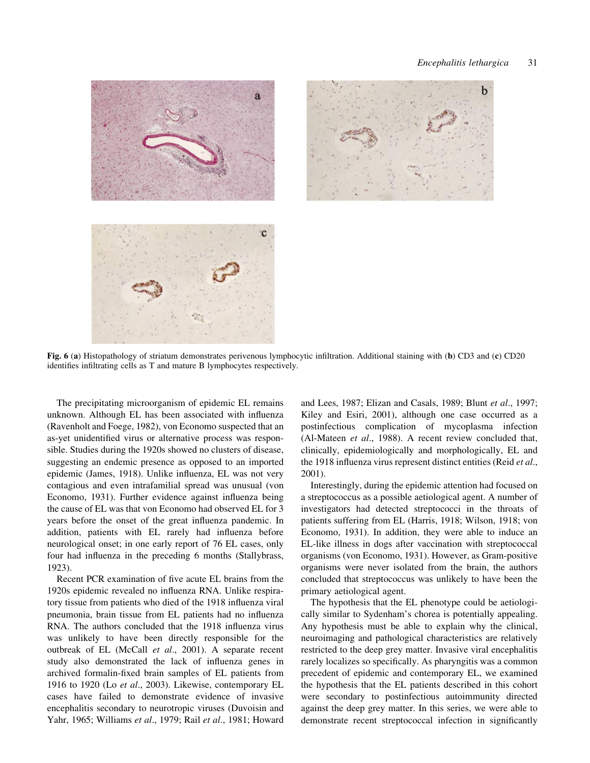b



Fig. 6 (a) Histopathology of striatum demonstrates perivenous lymphocytic infiltration. Additional staining with (b) CD3 and (c) CD20 identifies infiltrating cells as T and mature B lymphocytes respectively.

The precipitating microorganism of epidemic EL remains unknown. Although EL has been associated with influenza (Ravenholt and Foege, 1982), von Economo suspected that an as-yet unidentified virus or alternative process was responsible. Studies during the 1920s showed no clusters of disease, suggesting an endemic presence as opposed to an imported epidemic (James, 1918). Unlike influenza, EL was not very contagious and even intrafamilial spread was unusual (von Economo, 1931). Further evidence against influenza being the cause of EL was that von Economo had observed EL for 3 years before the onset of the great influenza pandemic. In addition, patients with EL rarely had influenza before neurological onset; in one early report of 76 EL cases, only four had influenza in the preceding 6 months (Stallybrass, 1923).

Recent PCR examination of five acute EL brains from the 1920s epidemic revealed no influenza RNA. Unlike respiratory tissue from patients who died of the 1918 influenza viral pneumonia, brain tissue from EL patients had no influenza RNA. The authors concluded that the 1918 influenza virus was unlikely to have been directly responsible for the outbreak of EL (McCall et al., 2001). A separate recent study also demonstrated the lack of influenza genes in archived formalin-fixed brain samples of EL patients from 1916 to 1920 (Lo et al., 2003). Likewise, contemporary EL cases have failed to demonstrate evidence of invasive encephalitis secondary to neurotropic viruses (Duvoisin and Yahr, 1965; Williams et al., 1979; Rail et al., 1981; Howard

and Lees, 1987; Elizan and Casals, 1989; Blunt et al., 1997; Kiley and Esiri, 2001), although one case occurred as a postinfectious complication of mycoplasma infection (Al-Mateen et al., 1988). A recent review concluded that, clinically, epidemiologically and morphologically, EL and the 1918 influenza virus represent distinct entities (Reid et al., 2001).

Interestingly, during the epidemic attention had focused on a streptococcus as a possible aetiological agent. A number of investigators had detected streptococci in the throats of patients suffering from EL (Harris, 1918; Wilson, 1918; von Economo, 1931). In addition, they were able to induce an EL-like illness in dogs after vaccination with streptococcal organisms (von Economo, 1931). However, as Gram-positive organisms were never isolated from the brain, the authors concluded that streptococcus was unlikely to have been the primary aetiological agent.

The hypothesis that the EL phenotype could be aetiologically similar to Sydenham's chorea is potentially appealing. Any hypothesis must be able to explain why the clinical, neuroimaging and pathological characteristics are relatively restricted to the deep grey matter. Invasive viral encephalitis rarely localizes so specifically. As pharyngitis was a common precedent of epidemic and contemporary EL, we examined the hypothesis that the EL patients described in this cohort were secondary to postinfectious autoimmunity directed against the deep grey matter. In this series, we were able to demonstrate recent streptococcal infection in significantly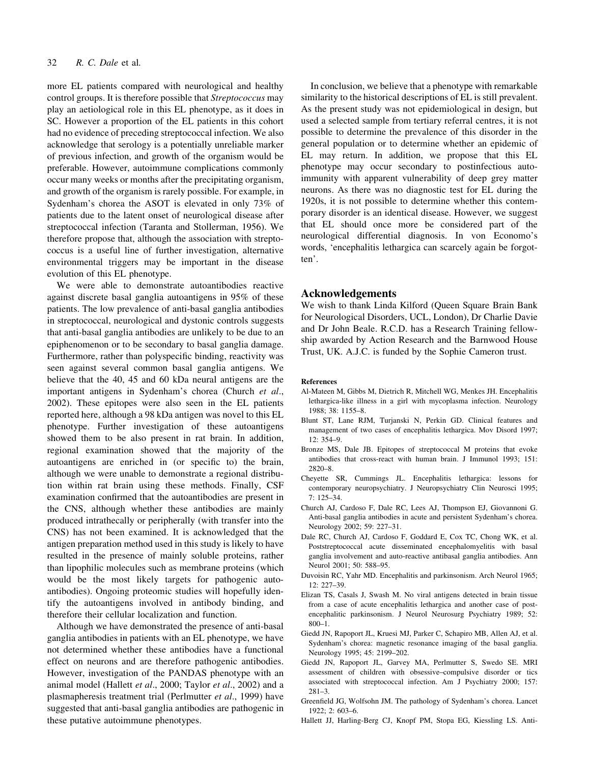more EL patients compared with neurological and healthy control groups. It is therefore possible that Streptococcus may play an aetiological role in this EL phenotype, as it does in SC. However a proportion of the EL patients in this cohort had no evidence of preceding streptococcal infection. We also acknowledge that serology is a potentially unreliable marker of previous infection, and growth of the organism would be preferable. However, autoimmune complications commonly occur many weeks or months after the precipitating organism, and growth of the organism is rarely possible. For example, in Sydenham's chorea the ASOT is elevated in only 73% of patients due to the latent onset of neurological disease after streptococcal infection (Taranta and Stollerman, 1956). We therefore propose that, although the association with streptococcus is a useful line of further investigation, alternative environmental triggers may be important in the disease evolution of this EL phenotype.

We were able to demonstrate autoantibodies reactive against discrete basal ganglia autoantigens in 95% of these patients. The low prevalence of anti-basal ganglia antibodies in streptococcal, neurological and dystonic controls suggests that anti-basal ganglia antibodies are unlikely to be due to an epiphenomenon or to be secondary to basal ganglia damage. Furthermore, rather than polyspecific binding, reactivity was seen against several common basal ganglia antigens. We believe that the 40, 45 and 60 kDa neural antigens are the important antigens in Sydenham's chorea (Church et al., 2002). These epitopes were also seen in the EL patients reported here, although a 98 kDa antigen was novel to this EL phenotype. Further investigation of these autoantigens showed them to be also present in rat brain. In addition, regional examination showed that the majority of the autoantigens are enriched in (or specific to) the brain, although we were unable to demonstrate a regional distribution within rat brain using these methods. Finally, CSF examination confirmed that the autoantibodies are present in the CNS, although whether these antibodies are mainly produced intrathecally or peripherally (with transfer into the CNS) has not been examined. It is acknowledged that the antigen preparation method used in this study is likely to have resulted in the presence of mainly soluble proteins, rather than lipophilic molecules such as membrane proteins (which would be the most likely targets for pathogenic autoantibodies). Ongoing proteomic studies will hopefully identify the autoantigens involved in antibody binding, and therefore their cellular localization and function.

Although we have demonstrated the presence of anti-basal ganglia antibodies in patients with an EL phenotype, we have not determined whether these antibodies have a functional effect on neurons and are therefore pathogenic antibodies. However, investigation of the PANDAS phenotype with an animal model (Hallett et al., 2000; Taylor et al., 2002) and a plasmapheresis treatment trial (Perlmutter et al., 1999) have suggested that anti-basal ganglia antibodies are pathogenic in these putative autoimmune phenotypes.

In conclusion, we believe that a phenotype with remarkable similarity to the historical descriptions of EL is still prevalent. As the present study was not epidemiological in design, but used a selected sample from tertiary referral centres, it is not possible to determine the prevalence of this disorder in the general population or to determine whether an epidemic of EL may return. In addition, we propose that this EL phenotype may occur secondary to postinfectious autoimmunity with apparent vulnerability of deep grey matter neurons. As there was no diagnostic test for EL during the 1920s, it is not possible to determine whether this contemporary disorder is an identical disease. However, we suggest that EL should once more be considered part of the neurological differential diagnosis. In von Economo's words, 'encephalitis lethargica can scarcely again be forgotten'.

#### Acknowledgements

We wish to thank Linda Kilford (Queen Square Brain Bank for Neurological Disorders, UCL, London), Dr Charlie Davie and Dr John Beale. R.C.D. has a Research Training fellowship awarded by Action Research and the Barnwood House Trust, UK. A.J.C. is funded by the Sophie Cameron trust.

#### References

- Al-Mateen M, Gibbs M, Dietrich R, Mitchell WG, Menkes JH. Encephalitis lethargica-like illness in a girl with mycoplasma infection. Neurology  $1988: 38: 1155-8.$
- Blunt ST, Lane RJM, Turjanski N, Perkin GD. Clinical features and management of two cases of encephalitis lethargica. Mov Disord 1997; 12: 354±9.
- Bronze MS, Dale JB. Epitopes of streptococcal M proteins that evoke antibodies that cross-react with human brain. J Immunol 1993; 151: 2820±8.
- Cheyette SR, Cummings JL. Encephalitis lethargica: lessons for contemporary neuropsychiatry. J Neuropsychiatry Clin Neurosci 1995;  $7: 125 - 34.$
- Church AJ, Cardoso F, Dale RC, Lees AJ, Thompson EJ, Giovannoni G. Anti-basal ganglia antibodies in acute and persistent Sydenham's chorea. Neurology 2002; 59: 227-31.
- Dale RC, Church AJ, Cardoso F, Goddard E, Cox TC, Chong WK, et al. Poststreptococcal acute disseminated encephalomyelitis with basal ganglia involvement and auto-reactive antibasal ganglia antibodies. Ann Neurol 2001; 50: 588-95.
- Duvoisin RC, Yahr MD. Encephalitis and parkinsonism. Arch Neurol 1965;  $12: 227 - 39$ .
- Elizan TS, Casals J, Swash M. No viral antigens detected in brain tissue from a case of acute encephalitis lethargica and another case of postencephalitic parkinsonism. J Neurol Neurosurg Psychiatry 1989; 52:  $800-1$
- Giedd JN, Rapoport JL, Kruesi MJ, Parker C, Schapiro MB, Allen AJ, et al. Sydenham's chorea: magnetic resonance imaging of the basal ganglia. Neurology 1995; 45: 2199-202.
- Giedd JN, Rapoport JL, Garvey MA, Perlmutter S, Swedo SE. MRI assessment of children with obsessive-compulsive disorder or tics associated with streptococcal infection. Am J Psychiatry 2000; 157:  $281 - 3.$
- Greenfield JG, Wolfsohn JM. The pathology of Sydenham's chorea. Lancet  $1922: 2: 603-6.$
- Hallett JJ, Harling-Berg CJ, Knopf PM, Stopa EG, Kiessling LS. Anti-